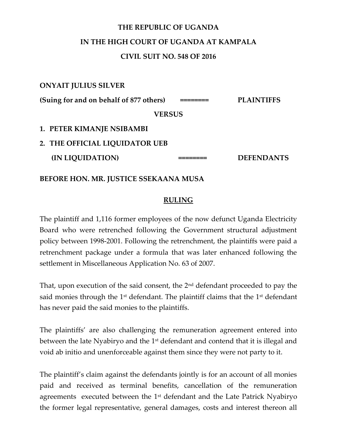# **THE REPUBLIC OF UGANDA**

## **IN THE HIGH COURT OF UGANDA AT KAMPALA**

#### **CIVIL SUIT NO. 548 OF 2016**

**ONYAIT JULIUS SILVER**

**(Suing for and on behalf of 877 others) ======== PLAINTIFFS**

**VERSUS**

- **1. PETER KIMANJE NSIBAMBI**
- **2. THE OFFICIAL LIQUIDATOR UEB**

**(IN LIQUIDATION) ======== DEFENDANTS** 

**BEFORE HON. MR. JUSTICE SSEKAANA MUSA**

### **RULING**

The plaintiff and 1,116 former employees of the now defunct Uganda Electricity Board who were retrenched following the Government structural adjustment policy between 1998-2001. Following the retrenchment, the plaintiffs were paid a retrenchment package under a formula that was later enhanced following the settlement in Miscellaneous Application No. 63 of 2007.

That, upon execution of the said consent, the 2<sup>nd</sup> defendant proceeded to pay the said monies through the  $1<sup>st</sup>$  defendant. The plaintiff claims that the  $1<sup>st</sup>$  defendant has never paid the said monies to the plaintiffs.

The plaintiffs' are also challenging the remuneration agreement entered into between the late Nyabiryo and the 1<sup>st</sup> defendant and contend that it is illegal and void ab initio and unenforceable against them since they were not party to it.

The plaintiff's claim against the defendants jointly is for an account of all monies paid and received as terminal benefits, cancellation of the remuneration agreements executed between the 1st defendant and the Late Patrick Nyabiryo the former legal representative, general damages, costs and interest thereon all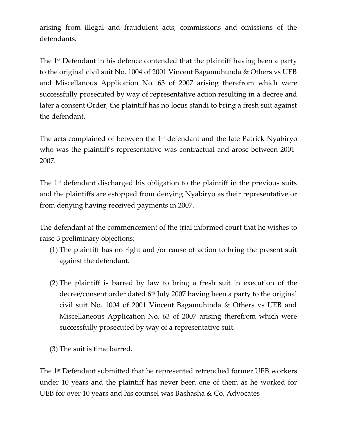arising from illegal and fraudulent acts, commissions and omissions of the defendants.

The 1st Defendant in his defence contended that the plaintiff having been a party to the original civil suit No. 1004 of 2001 Vincent Bagamuhunda & Others vs UEB and Miscellanous Application No. 63 of 2007 arising therefrom which were successfully prosecuted by way of representative action resulting in a decree and later a consent Order, the plaintiff has no locus standi to bring a fresh suit against the defendant.

The acts complained of between the 1<sup>st</sup> defendant and the late Patrick Nyabiryo who was the plaintiff's representative was contractual and arose between 2001- 2007.

The 1<sup>st</sup> defendant discharged his obligation to the plaintiff in the previous suits and the plaintiffs are estopped from denying Nyabiryo as their representative or from denying having received payments in 2007.

The defendant at the commencement of the trial informed court that he wishes to raise 3 preliminary objections;

- (1) The plaintiff has no right and /or cause of action to bring the present suit against the defendant.
- (2) The plaintiff is barred by law to bring a fresh suit in execution of the decree/consent order dated  $6<sup>th</sup>$  July 2007 having been a party to the original civil suit No. 1004 of 2001 Vincent Bagamuhinda & Others vs UEB and Miscellaneous Application No. 63 of 2007 arising therefrom which were successfully prosecuted by way of a representative suit.
- (3) The suit is time barred.

The 1st Defendant submitted that he represented retrenched former UEB workers under 10 years and the plaintiff has never been one of them as he worked for UEB for over 10 years and his counsel was Bashasha & Co. Advocates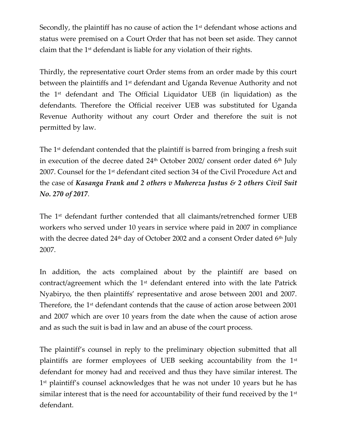Secondly, the plaintiff has no cause of action the 1<sup>st</sup> defendant whose actions and status were premised on a Court Order that has not been set aside. They cannot claim that the 1st defendant is liable for any violation of their rights.

Thirdly, the representative court Order stems from an order made by this court between the plaintiffs and 1st defendant and Uganda Revenue Authority and not the 1st defendant and The Official Liquidator UEB (in liquidation) as the defendants. Therefore the Official receiver UEB was substituted for Uganda Revenue Authority without any court Order and therefore the suit is not permitted by law.

The 1<sup>st</sup> defendant contended that the plaintiff is barred from bringing a fresh suit in execution of the decree dated  $24<sup>th</sup>$  October 2002/ consent order dated 6<sup>th</sup> July 2007. Counsel for the 1st defendant cited section 34 of the Civil Procedure Act and the case of *Kasanga Frank and 2 others v Muhereza Justus & 2 others Civil Suit No. 270 of 2017*.

The 1st defendant further contended that all claimants/retrenched former UEB workers who served under 10 years in service where paid in 2007 in compliance with the decree dated  $24<sup>th</sup>$  day of October 2002 and a consent Order dated 6<sup>th</sup> July 2007.

In addition, the acts complained about by the plaintiff are based on contract/agreement which the 1st defendant entered into with the late Patrick Nyabiryo, the then plaintiffs' representative and arose between 2001 and 2007. Therefore, the 1<sup>st</sup> defendant contends that the cause of action arose between 2001 and 2007 which are over 10 years from the date when the cause of action arose and as such the suit is bad in law and an abuse of the court process.

The plaintiff's counsel in reply to the preliminary objection submitted that all plaintiffs are former employees of UEB seeking accountability from the 1st defendant for money had and received and thus they have similar interest. The 1 st plaintiff's counsel acknowledges that he was not under 10 years but he has similar interest that is the need for accountability of their fund received by the 1st defendant.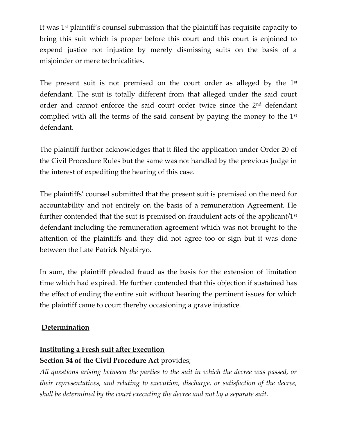It was 1st plaintiff's counsel submission that the plaintiff has requisite capacity to bring this suit which is proper before this court and this court is enjoined to expend justice not injustice by merely dismissing suits on the basis of a misjoinder or mere technicalities.

The present suit is not premised on the court order as alleged by the 1<sup>st</sup> defendant. The suit is totally different from that alleged under the said court order and cannot enforce the said court order twice since the 2nd defendant complied with all the terms of the said consent by paying the money to the 1st defendant.

The plaintiff further acknowledges that it filed the application under Order 20 of the Civil Procedure Rules but the same was not handled by the previous Judge in the interest of expediting the hearing of this case.

The plaintiffs' counsel submitted that the present suit is premised on the need for accountability and not entirely on the basis of a remuneration Agreement. He further contended that the suit is premised on fraudulent acts of the applicant/1st defendant including the remuneration agreement which was not brought to the attention of the plaintiffs and they did not agree too or sign but it was done between the Late Patrick Nyabiryo.

In sum, the plaintiff pleaded fraud as the basis for the extension of limitation time which had expired. He further contended that this objection if sustained has the effect of ending the entire suit without hearing the pertinent issues for which the plaintiff came to court thereby occasioning a grave injustice.

### **Determination**

### **Instituting a Fresh suit after Execution**

### **Section 34 of the Civil Procedure Act** provides;

*All questions arising between the parties to the suit in which the decree was passed, or their representatives, and relating to execution, discharge, or satisfaction of the decree, shall be determined by the court executing the decree and not by a separate suit.*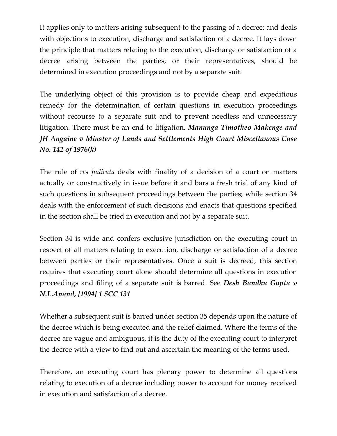It applies only to matters arising subsequent to the passing of a decree; and deals with objections to execution, discharge and satisfaction of a decree. It lays down the principle that matters relating to the execution, discharge or satisfaction of a decree arising between the parties, or their representatives, should be determined in execution proceedings and not by a separate suit.

The underlying object of this provision is to provide cheap and expeditious remedy for the determination of certain questions in execution proceedings without recourse to a separate suit and to prevent needless and unnecessary litigation. There must be an end to litigation. *Manunga Timotheo Makenge and JH Angaine v Minster of Lands and Settlements High Court Miscellanous Case No. 142 of 1976(k)*

The rule of *res judicata* deals with finality of a decision of a court on matters actually or constructively in issue before it and bars a fresh trial of any kind of such questions in subsequent proceedings between the parties; while section 34 deals with the enforcement of such decisions and enacts that questions specified in the section shall be tried in execution and not by a separate suit.

Section 34 is wide and confers exclusive jurisdiction on the executing court in respect of all matters relating to execution, discharge or satisfaction of a decree between parties or their representatives. Once a suit is decreed, this section requires that executing court alone should determine all questions in execution proceedings and filing of a separate suit is barred. See *Desh Bandhu Gupta v N.L.Anand, [1994] 1 SCC 131*

Whether a subsequent suit is barred under section 35 depends upon the nature of the decree which is being executed and the relief claimed. Where the terms of the decree are vague and ambiguous, it is the duty of the executing court to interpret the decree with a view to find out and ascertain the meaning of the terms used.

Therefore, an executing court has plenary power to determine all questions relating to execution of a decree including power to account for money received in execution and satisfaction of a decree.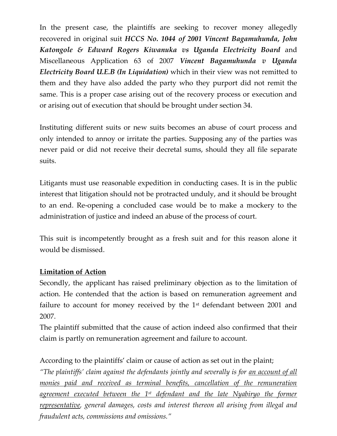In the present case, the plaintiffs are seeking to recover money allegedly recovered in original suit *HCCS No. 1044 of 2001 Vincent Bagamuhunda, John Katongole & Edward Rogers Kiwanuka vs Uganda Electricity Board* and Miscellaneous Application 63 of 2007 *Vincent Bagamuhunda v Uganda Electricity Board U.E.B (In Liquidation)* which in their view was not remitted to them and they have also added the party who they purport did not remit the same. This is a proper case arising out of the recovery process or execution and or arising out of execution that should be brought under section 34.

Instituting different suits or new suits becomes an abuse of court process and only intended to annoy or irritate the parties. Supposing any of the parties was never paid or did not receive their decretal sums, should they all file separate suits.

Litigants must use reasonable expedition in conducting cases. It is in the public interest that litigation should not be protracted unduly, and it should be brought to an end. Re-opening a concluded case would be to make a mockery to the administration of justice and indeed an abuse of the process of court.

This suit is incompetently brought as a fresh suit and for this reason alone it would be dismissed.

### **Limitation of Action**

Secondly, the applicant has raised preliminary objection as to the limitation of action. He contended that the action is based on remuneration agreement and failure to account for money received by the  $1<sup>st</sup>$  defendant between 2001 and 2007.

The plaintiff submitted that the cause of action indeed also confirmed that their claim is partly on remuneration agreement and failure to account.

According to the plaintiffs' claim or cause of action as set out in the plaint;

*"The plaintiffs' claim against the defendants jointly and severally is for <u>an account of all</u> monies paid and received as terminal benefits, cancellation of the remuneration agreement executed between the 1st defendant and the late Nyabiryo the former representative, general damages, costs and interest thereon all arising from illegal and fraudulent acts, commissions and omissions."*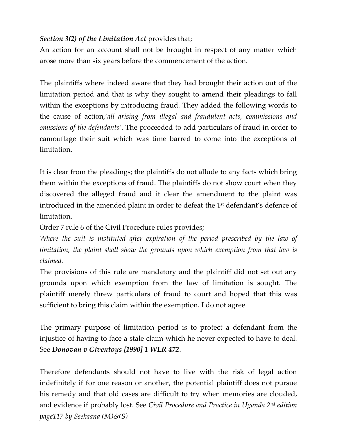### *Section 3(2) of the Limitation Act* provides that;

An action for an account shall not be brought in respect of any matter which arose more than six years before the commencement of the action.

The plaintiffs where indeed aware that they had brought their action out of the limitation period and that is why they sought to amend their pleadings to fall within the exceptions by introducing fraud. They added the following words to the cause of action,'*all arising from illegal and fraudulent acts, commissions and omissions of the defendants'*. The proceeded to add particulars of fraud in order to camouflage their suit which was time barred to come into the exceptions of limitation.

It is clear from the pleadings; the plaintiffs do not allude to any facts which bring them within the exceptions of fraud. The plaintiffs do not show court when they discovered the alleged fraud and it clear the amendment to the plaint was introduced in the amended plaint in order to defeat the 1st defendant's defence of limitation.

Order 7 rule 6 of the Civil Procedure rules provides;

*Where the suit is instituted after expiration of the period prescribed by the law of limitation, the plaint shall show the grounds upon which exemption from that law is claimed.* 

The provisions of this rule are mandatory and the plaintiff did not set out any grounds upon which exemption from the law of limitation is sought. The plaintiff merely threw particulars of fraud to court and hoped that this was sufficient to bring this claim within the exemption. I do not agree.

The primary purpose of limitation period is to protect a defendant from the injustice of having to face a stale claim which he never expected to have to deal. See *Donovan v Giventoys [1990] 1 WLR 472*.

Therefore defendants should not have to live with the risk of legal action indefinitely if for one reason or another, the potential plaintiff does not pursue his remedy and that old cases are difficult to try when memories are clouded, and evidence if probably lost. See *Civil Procedure and Practice in Uganda 2nd edition page117 by Ssekaana (M)&(S)*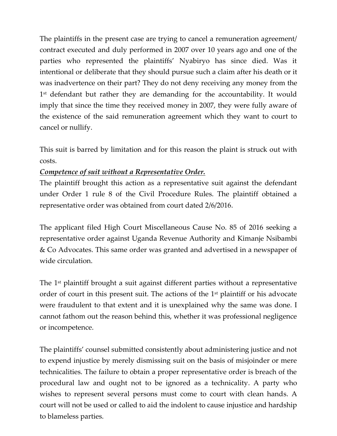The plaintiffs in the present case are trying to cancel a remuneration agreement/ contract executed and duly performed in 2007 over 10 years ago and one of the parties who represented the plaintiffs' Nyabiryo has since died. Was it intentional or deliberate that they should pursue such a claim after his death or it was inadvertence on their part? They do not deny receiving any money from the 1 st defendant but rather they are demanding for the accountability. It would imply that since the time they received money in 2007, they were fully aware of the existence of the said remuneration agreement which they want to court to cancel or nullify.

This suit is barred by limitation and for this reason the plaint is struck out with costs.

### *Competence of suit without a Representative Order.*

The plaintiff brought this action as a representative suit against the defendant under Order 1 rule 8 of the Civil Procedure Rules. The plaintiff obtained a representative order was obtained from court dated 2/6/2016.

The applicant filed High Court Miscellaneous Cause No. 85 of 2016 seeking a representative order against Uganda Revenue Authority and Kimanje Nsibambi & Co Advocates. This same order was granted and advertised in a newspaper of wide circulation.

The 1st plaintiff brought a suit against different parties without a representative order of court in this present suit. The actions of the 1<sup>st</sup> plaintiff or his advocate were fraudulent to that extent and it is unexplained why the same was done. I cannot fathom out the reason behind this, whether it was professional negligence or incompetence.

The plaintiffs' counsel submitted consistently about administering justice and not to expend injustice by merely dismissing suit on the basis of misjoinder or mere technicalities. The failure to obtain a proper representative order is breach of the procedural law and ought not to be ignored as a technicality. A party who wishes to represent several persons must come to court with clean hands. A court will not be used or called to aid the indolent to cause injustice and hardship to blameless parties.